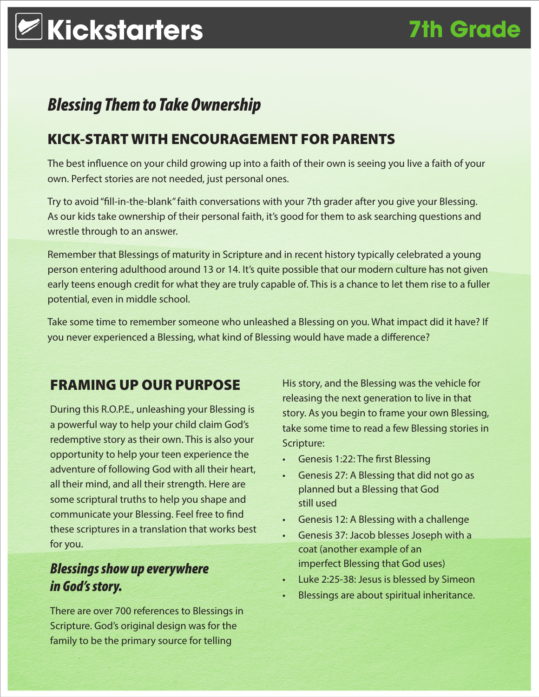### *Blessing Them to Take Ownership*

### KICK-START WITH ENCOURAGEMENT FOR PARENTS

The best influence on your child growing up into a faith of their own is seeing you live a faith of your own. Perfect stories are not needed, just personal ones.

Try to avoid "fill-in-the-blank" faith conversations with your 7th grader after you give your Blessing. As our kids take ownership of their personal faith, it's good for them to ask searching questions and wrestle through to an answer.

Remember that Blessings of maturity in Scripture and in recent history typically celebrated a young person entering adulthood around 13 or 14. It's quite possible that our modern culture has not given early teens enough credit for what they are truly capable of. This is a chance to let them rise to a fuller potential, even in middle school.

Take some time to remember someone who unleashed a Blessing on you. What impact did it have? If you never experienced a Blessing, what kind of Blessing would have made a difference?

### FRAMING UP OUR PURPOSE

During this R.O.P.E., unleashing your Blessing is a powerful way to help your child claim God's redemptive story as their own. This is also your opportunity to help your teen experience the adventure of following God with all their heart, all their mind, and all their strength. Here are some scriptural truths to help you shape and communicate your Blessing. Feel free to find these scriptures in a translation that works best for you.

### *Blessings show up everywhere in God's story.*

There are over 700 references to Blessings in Scripture. God's original design was for the family to be the primary source for telling

His story, and the Blessing was the vehicle for releasing the next generation to live in that story. As you begin to frame your own Blessing, take some time to read a few Blessing stories in Scripture:

- • Genesis 1:22: The first Blessing
- Genesis 27: A Blessing that did not go as planned but a Blessing that God still used
- **Genesis 12: A Blessing with a challenge**
- • Genesis 37: Jacob blesses Joseph with a coat (another example of an imperfect Blessing that God uses)
- Luke 2:25-38: Jesus is blessed by Simeon
- Blessings are about spiritual inheritance.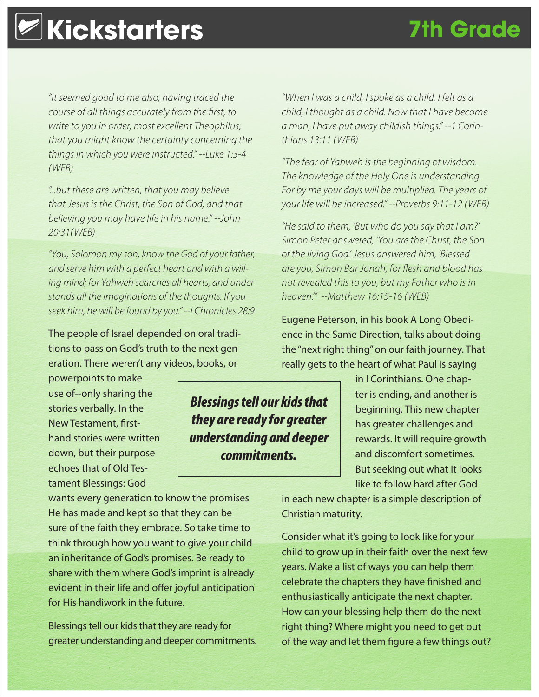## **Kickstarters 7th Grade**

*"It seemed good to me also, having traced the course of all things accurately from the first, to write to you in order, most excellent Theophilus; that you might know the certainty concerning the things in which you were instructed." --Luke 1:3-4 (WEB)*

*"...but these are written, that you may believe that Jesus is the Christ, the Son of God, and that believing you may have life in his name." --John 20:31(WEB)*

*"You, Solomon my son, know the God of your father, and serve him with a perfect heart and with a willing mind; for Yahweh searches all hearts, and understands all the imaginations of the thoughts. If you seek him, he will be found by you." --I Chronicles 28:9*

The people of Israel depended on oral traditions to pass on God's truth to the next generation. There weren't any videos, books, or

powerpoints to make use of--only sharing the stories verbally. In the New Testament, firsthand stories were written down, but their purpose echoes that of Old Testament Blessings: God

wants every generation to know the promises He has made and kept so that they can be sure of the faith they embrace. So take time to think through how you want to give your child an inheritance of God's promises. Be ready to share with them where God's imprint is already evident in their life and offer joyful anticipation for His handiwork in the future.

Blessings tell our kids that they are ready for greater understanding and deeper commitments.

*"When I was a child, I spoke as a child, I felt as a child, I thought as a child. Now that I have become a man, I have put away childish things." --1 Corinthians 13:11 (WEB)*

*"The fear of Yahweh is the beginning of wisdom. The knowledge of the Holy One is understanding. For by me your days will be multiplied. The years of your life will be increased." --Proverbs 9:11-12 (WEB)*

*"He said to them, 'But who do you say that I am?' Simon Peter answered, 'You are the Christ, the Son of the living God.' Jesus answered him, 'Blessed are you, Simon Bar Jonah, for flesh and blood has not revealed this to you, but my Father who is in heaven.'" --Matthew 16:15-16 (WEB)*

Eugene Peterson, in his book A Long Obedience in the Same Direction, talks about doing the "next right thing" on our faith journey. That really gets to the heart of what Paul is saying

> in I Corinthians. One chapter is ending, and another is beginning. This new chapter has greater challenges and rewards. It will require growth and discomfort sometimes. But seeking out what it looks like to follow hard after God

in each new chapter is a simple description of Christian maturity.

Consider what it's going to look like for your child to grow up in their faith over the next few years. Make a list of ways you can help them celebrate the chapters they have finished and enthusiastically anticipate the next chapter. How can your blessing help them do the next right thing? Where might you need to get out of the way and let them figure a few things out?

### *Blessings tell our kids that they are ready for greater understanding and deeper commitments.*